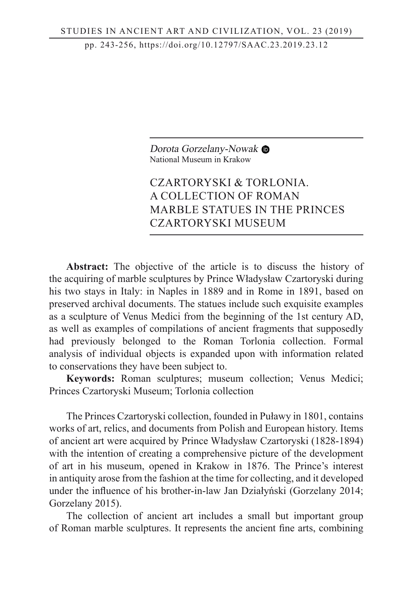pp. 243-256, https://doi.org/10.12797/SAAC.23.2019.23.12

Dorota Gorzelany-Nowa[k](https://orcid.org/0000-0003-0970-6117) **O** National Museum in Krakow

CZARTORYSKI & TORLONIA. A COLLECTION OF ROMAN MARBLE STATUES IN THE PRINCES CZARTORYSKI MUSEUM

**Abstract:** The objective of the article is to discuss the history of the acquiring of marble sculptures by Prince Władysław Czartoryski during his two stays in Italy: in Naples in 1889 and in Rome in 1891, based on preserved archival documents. The statues include such exquisite examples as a sculpture of Venus Medici from the beginning of the 1st century AD, as well as examples of compilations of ancient fragments that supposedly had previously belonged to the Roman Torlonia collection. Formal analysis of individual objects is expanded upon with information related to conservations they have been subject to.

**Keywords:** Roman sculptures; museum collection; Venus Medici; Princes Czartoryski Museum; Torlonia collection

The Princes Czartoryski collection, founded in Puławy in 1801, contains works of art, relics, and documents from Polish and European history. Items of ancient art were acquired by Prince Władysław Czartoryski (1828-1894) with the intention of creating a comprehensive picture of the development of art in his museum, opened in Krakow in 1876. The Prince's interest in antiquity arose from the fashion at the time for collecting, and it developed under the influence of his brother-in-law Jan Działyński (Gorzelany 2014; Gorzelany 2015).

The collection of ancient art includes a small but important group of Roman marble sculptures. It represents the ancient fine arts, combining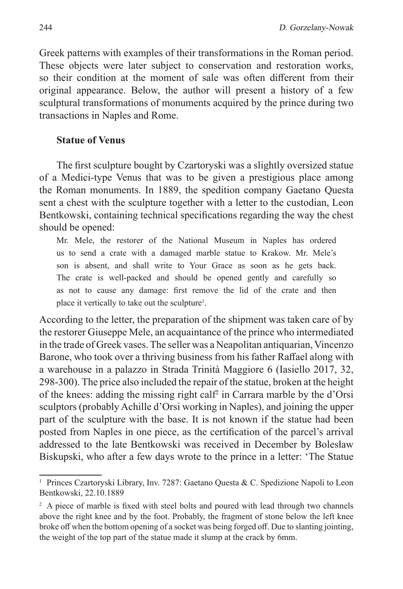Greek patterns with examples of their transformations in the Roman period. These objects were later subject to conservation and restoration works, so their condition at the moment of sale was often different from their original appearance. Below, the author will present a history of a few sculptural transformations of monuments acquired by the prince during two transactions in Naples and Rome.

# **Statue of Venus**

The first sculpture bought by Czartoryski was a slightly oversized statue of a Medici-type Venus that was to be given a prestigious place among the Roman monuments. In 1889, the spedition company Gaetano Questa sent a chest with the sculpture together with a letter to the custodian, Leon Bentkowski, containing technical specifications regarding the way the chest should be opened:

Mr. Mele, the restorer of the National Museum in Naples has ordered us to send a crate with a damaged marble statue to Krakow. Mr. Mele's son is absent, and shall write to Your Grace as soon as he gets back. The crate is well-packed and should be opened gently and carefully so as not to cause any damage: first remove the lid of the crate and then place it vertically to take out the sculpture<sup>1</sup>.

According to the letter, the preparation of the shipment was taken care of by the restorer Giuseppe Mele, an acquaintance of the prince who intermediated in the trade of Greek vases. The seller was a Neapolitan antiquarian, Vincenzo Barone, who took over a thriving business from his father Raffael along with a warehouse in a palazzo in Strada Trinità Maggiore 6 (Iasiello 2017, 32, 298-300). The price also included the repair of the statue, broken at the height of the knees: adding the missing right calf<sup>2</sup> in Carrara marble by the d'Orsi sculptors (probably Achille d'Orsi working in Naples), and joining the upper part of the sculpture with the base. It is not known if the statue had been posted from Naples in one piece, as the certification of the parcel's arrival addressed to the late Bentkowski was received in December by Bolesław Biskupski, who after a few days wrote to the prince in a letter: 'The Statue

<sup>&</sup>lt;sup>1</sup> Princes Czartoryski Library, Inv. 7287: Gaetano Questa & C. Spedizione Napoli to Leon Bentkowski, 22.10.1889

<sup>&</sup>lt;sup>2</sup> A piece of marble is fixed with steel bolts and poured with lead through two channels above the right knee and by the foot. Probably, the fragment of stone below the left knee broke off when the bottom opening of a socket was being forged off. Due to slanting jointing, the weight of the top part of the statue made it slump at the crack by 6mm.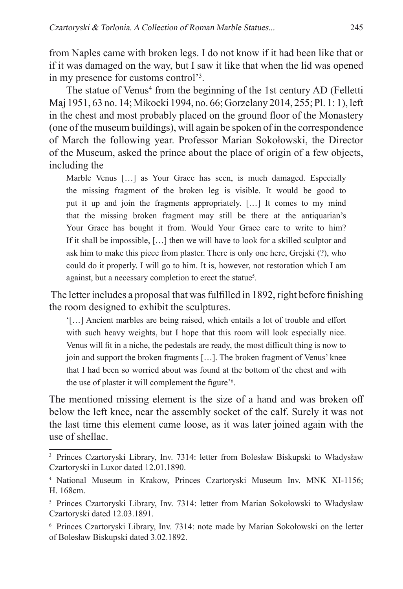from Naples came with broken legs. I do not know if it had been like that or if it was damaged on the way, but I saw it like that when the lid was opened in my presence for customs control'<sup>3</sup> .

The statue of Venus<sup>4</sup> from the beginning of the 1st century AD (Felletti Maj 1951, 63 no. 14; Mikocki 1994, no. 66; Gorzelany 2014, 255; Pl. 1: 1), left in the chest and most probably placed on the ground floor of the Monastery (one of the museum buildings), will again be spoken of in the correspondence of March the following year. Professor Marian Sokołowski, the Director of the Museum, asked the prince about the place of origin of a few objects, including the

Marble Venus […] as Your Grace has seen, is much damaged. Especially the missing fragment of the broken leg is visible. It would be good to put it up and join the fragments appropriately. […] It comes to my mind that the missing broken fragment may still be there at the antiquarian's Your Grace has bought it from. Would Your Grace care to write to him? If it shall be impossible, […] then we will have to look for a skilled sculptor and ask him to make this piece from plaster. There is only one here, Grejski (?), who could do it properly. I will go to him. It is, however, not restoration which I am against, but a necessary completion to erect the statue<sup>5</sup>.

 The letter includes a proposal that was fulfilled in 1892, right before finishing the room designed to exhibit the sculptures.

'[…] Ancient marbles are being raised, which entails a lot of trouble and effort with such heavy weights, but I hope that this room will look especially nice. Venus will fit in a niche, the pedestals are ready, the most difficult thing is now to join and support the broken fragments […]. The broken fragment of Venus' knee that I had been so worried about was found at the bottom of the chest and with the use of plaster it will complement the figure'6 .

The mentioned missing element is the size of a hand and was broken off below the left knee, near the assembly socket of the calf. Surely it was not the last time this element came loose, as it was later joined again with the use of shellac.

<sup>3</sup> Princes Czartoryski Library, Inv. 7314: letter from Bolesław Biskupski to Władysław Czartoryski in Luxor dated 12.01.1890.

<sup>4</sup> National Museum in Krakow, Princes Czartoryski Museum Inv. MNK XI-1156; H. 168cm.

<sup>5</sup> Princes Czartoryski Library, Inv. 7314: letter from Marian Sokołowski to Władysław Czartoryski dated 12.03.1891.

<sup>6</sup> Princes Czartoryski Library, Inv. 7314: note made by Marian Sokołowski on the letter of Bolesław Biskupski dated 3.02.1892.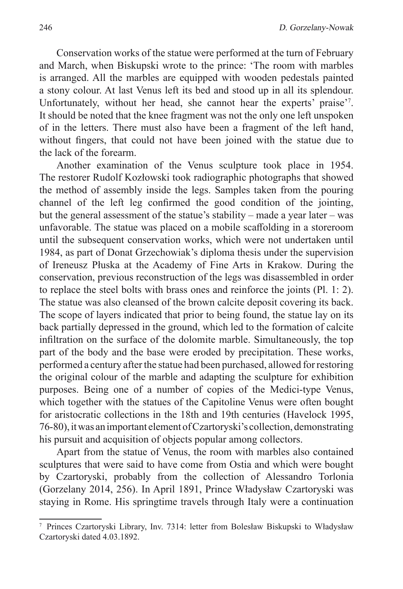Conservation works of the statue were performed at the turn of February and March, when Biskupski wrote to the prince: 'The room with marbles is arranged. All the marbles are equipped with wooden pedestals painted a stony colour. At last Venus left its bed and stood up in all its splendour. Unfortunately, without her head, she cannot hear the experts' praise'7 . It should be noted that the knee fragment was not the only one left unspoken of in the letters. There must also have been a fragment of the left hand, without fingers, that could not have been joined with the statue due to the lack of the forearm.

Another examination of the Venus sculpture took place in 1954. The restorer Rudolf Kozłowski took radiographic photographs that showed the method of assembly inside the legs. Samples taken from the pouring channel of the left leg confirmed the good condition of the jointing, but the general assessment of the statue's stability – made a year later – was unfavorable. The statue was placed on a mobile scaffolding in a storeroom until the subsequent conservation works, which were not undertaken until 1984, as part of Donat Grzechowiak's diploma thesis under the supervision of Ireneusz Płuska at the Academy of Fine Arts in Krakow. During the conservation, previous reconstruction of the legs was disassembled in order to replace the steel bolts with brass ones and reinforce the joints (Pl. 1: 2). The statue was also cleansed of the brown calcite deposit covering its back. The scope of layers indicated that prior to being found, the statue lay on its back partially depressed in the ground, which led to the formation of calcite infiltration on the surface of the dolomite marble. Simultaneously, the top part of the body and the base were eroded by precipitation. These works, performed a century after the statue had been purchased, allowed for restoring the original colour of the marble and adapting the sculpture for exhibition purposes. Being one of a number of copies of the Medici-type Venus, which together with the statues of the Capitoline Venus were often bought for aristocratic collections in the 18th and 19th centuries (Havelock 1995, 76-80), it was an important element of Czartoryski's collection, demonstrating his pursuit and acquisition of objects popular among collectors.

Apart from the statue of Venus, the room with marbles also contained sculptures that were said to have come from Ostia and which were bought by Czartoryski, probably from the collection of Alessandro Torlonia (Gorzelany 2014, 256). In April 1891, Prince Władysław Czartoryski was staying in Rome. His springtime travels through Italy were a continuation

<sup>7</sup> Princes Czartoryski Library, Inv. 7314: letter from Bolesław Biskupski to Władysław Czartoryski dated 4.03.1892.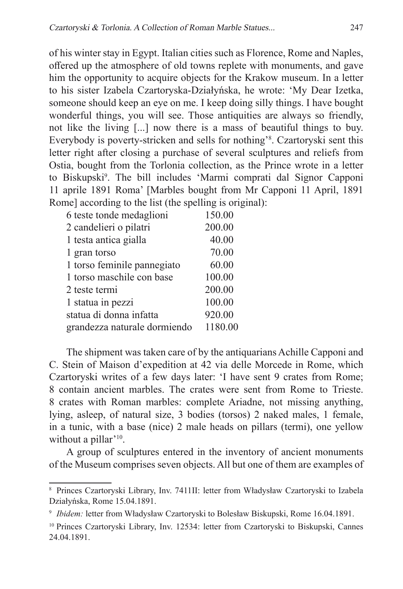of his winter stay in Egypt. Italian cities such as Florence, Rome and Naples, offered up the atmosphere of old towns replete with monuments, and gave him the opportunity to acquire objects for the Krakow museum. In a letter to his sister Izabela Czartoryska-Działyńska, he wrote: 'My Dear Izetka, someone should keep an eye on me. I keep doing silly things. I have bought wonderful things, you will see. Those antiquities are always so friendly, not like the living [...] now there is a mass of beautiful things to buy. Everybody is poverty-stricken and sells for nothing'8 . Czartoryski sent this letter right after closing a purchase of several sculptures and reliefs from Ostia, bought from the Torlonia collection, as the Prince wrote in a letter to Biskupski<sup>9</sup>. The bill includes 'Marmi comprati dal Signor Capponi 11 aprile 1891 Roma' [Marbles bought from Mr Capponi 11 April, 1891 Rome] according to the list (the spelling is original):

| 6 teste tonde medaglioni     | 150.00  |
|------------------------------|---------|
| 2 candelieri o pilatri       | 200.00  |
| 1 testa antica gialla        | 40.00   |
| 1 gran torso                 | 70.00   |
| 1 torso feminile pannegiato  | 60.00   |
| 1 torso maschile con base    | 100.00  |
| 2 teste termi                | 200.00  |
| 1 statua in pezzi            | 100.00  |
| statua di donna infatta      | 920.00  |
| grandezza naturale dormiendo | 1180.00 |

The shipment was taken care of by the antiquarians Achille Capponi and C. Stein of Maison d'expedition at 42 via delle Morcede in Rome, which Czartoryski writes of a few days later: 'I have sent 9 crates from Rome; 8 contain ancient marbles. The crates were sent from Rome to Trieste. 8 crates with Roman marbles: complete Ariadne, not missing anything, lying, asleep, of natural size, 3 bodies (torsos) 2 naked males, 1 female, in a tunic, with a base (nice) 2 male heads on pillars (termi), one yellow without a pillar'<sup>10</sup>.

A group of sculptures entered in the inventory of ancient monuments of the Museum comprises seven objects. All but one of them are examples of

<sup>8</sup> Princes Czartoryski Library, Inv. 7411II: letter from Władysław Czartoryski to Izabela Działyńska, Rome 15.04.1891.

<sup>9</sup> *Ibidem:* letter from Władysław Czartoryski to Bolesław Biskupski, Rome 16.04.1891.

<sup>&</sup>lt;sup>10</sup> Princes Czartoryski Library, Inv. 12534: letter from Czartoryski to Biskupski, Cannes 24.04.1891.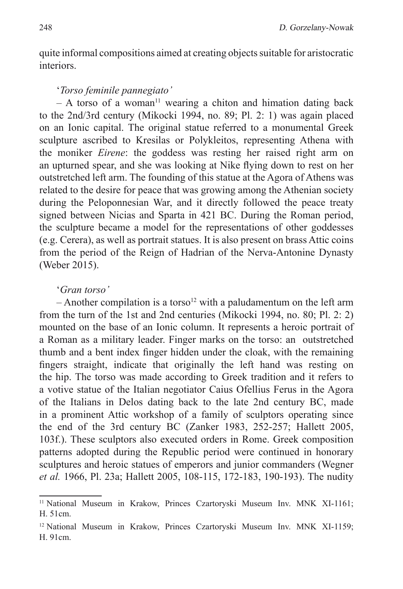quite informal compositions aimed at creating objects suitable for aristocratic interiors.

## '*Torso feminile pannegiato'*

 $- A$  torso of a woman<sup>11</sup> wearing a chiton and himation dating back to the 2nd/3rd century (Mikocki 1994, no. 89; Pl. 2: 1) was again placed on an Ionic capital. The original statue referred to a monumental Greek sculpture ascribed to Kresilas or Polykleitos, representing Athena with the moniker *Eirene*: the goddess was resting her raised right arm on an upturned spear, and she was looking at Nike flying down to rest on her outstretched left arm. The founding of this statue at the Agora of Athens was related to the desire for peace that was growing among the Athenian society during the Peloponnesian War, and it directly followed the peace treaty signed between Nicias and Sparta in 421 BC. During the Roman period, the sculpture became a model for the representations of other goddesses (e.g. Cerera), as well as portrait statues. It is also present on brass Attic coins from the period of the Reign of Hadrian of the Nerva-Antonine Dynasty (Weber 2015).

# '*Gran torso'*

 $-$  Another compilation is a torso<sup>12</sup> with a paludamentum on the left arm from the turn of the 1st and 2nd centuries (Mikocki 1994, no. 80; Pl. 2: 2) mounted on the base of an Ionic column. It represents a heroic portrait of a Roman as a military leader. Finger marks on the torso: an outstretched thumb and a bent index finger hidden under the cloak, with the remaining fingers straight, indicate that originally the left hand was resting on the hip. The torso was made according to Greek tradition and it refers to a votive statue of the Italian negotiator Caius Ofellius Ferus in the Agora of the Italians in Delos dating back to the late 2nd century BC, made in a prominent Attic workshop of a family of sculptors operating since the end of the 3rd century BC (Zanker 1983, 252-257; Hallett 2005, 103f.). These sculptors also executed orders in Rome. Greek composition patterns adopted during the Republic period were continued in honorary sculptures and heroic statues of emperors and junior commanders (Wegner *et al.* 1966, Pl. 23a; Hallett 2005, 108-115, 172-183, 190-193). The nudity

<sup>&</sup>lt;sup>11</sup> National Museum in Krakow, Princes Czartoryski Museum Inv. MNK XI-1161; H. 51cm.

<sup>12</sup> National Museum in Krakow, Princes Czartoryski Museum Inv. MNK XI-1159; H. 91cm.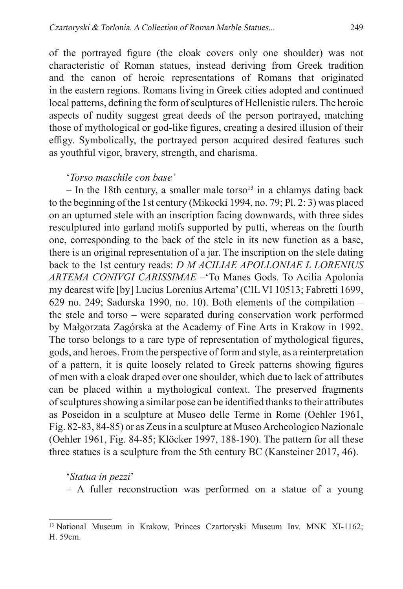of the portrayed figure (the cloak covers only one shoulder) was not characteristic of Roman statues, instead deriving from Greek tradition and the canon of heroic representations of Romans that originated in the eastern regions. Romans living in Greek cities adopted and continued local patterns, defining the form of sculptures of Hellenistic rulers. The heroic aspects of nudity suggest great deeds of the person portrayed, matching those of mythological or god-like figures, creating a desired illusion of their effigy. Symbolically, the portrayed person acquired desired features such as youthful vigor, bravery, strength, and charisma.

#### '*Torso maschile con base'*

– In the 18th century, a smaller male torso<sup>13</sup> in a chlamys dating back to the beginning of the 1st century (Mikocki 1994, no. 79; Pl. 2: 3) was placed on an upturned stele with an inscription facing downwards, with three sides resculptured into garland motifs supported by putti, whereas on the fourth one, corresponding to the back of the stele in its new function as a base, there is an original representation of a jar. The inscription on the stele dating back to the 1st century reads: *D M ACILIAE APOLLONIAE L LORENIUS ARTEMA CONIVGI CARISSIMAE* –'To Manes Gods. To Acilia Apolonia my dearest wife [by] Lucius Lorenius Artema' (CIL VI 10513; Fabretti 1699, 629 no. 249; Sadurska 1990, no. 10). Both elements of the compilation – the stele and torso – were separated during conservation work performed by Małgorzata Zagórska at the Academy of Fine Arts in Krakow in 1992. The torso belongs to a rare type of representation of mythological figures, gods, and heroes. From the perspective of form and style, as a reinterpretation of a pattern, it is quite loosely related to Greek patterns showing figures of men with a cloak draped over one shoulder, which due to lack of attributes can be placed within a mythological context. The preserved fragments of sculptures showing a similar pose can be identified thanks to their attributes as Poseidon in a sculpture at Museo delle Terme in Rome (Oehler 1961, Fig. 82-83, 84-85) or as Zeus in a sculpture at Museo Archeologico Nazionale (Oehler 1961, Fig. 84-85; Klöcker 1997, 188-190). The pattern for all these three statues is a sculpture from the 5th century BC (Kansteiner 2017, 46).

### '*Statua in pezzi*'

– A fuller reconstruction was performed on a statue of a young

<sup>&</sup>lt;sup>13</sup> National Museum in Krakow, Princes Czartoryski Museum Inv. MNK XI-1162; H. 59cm.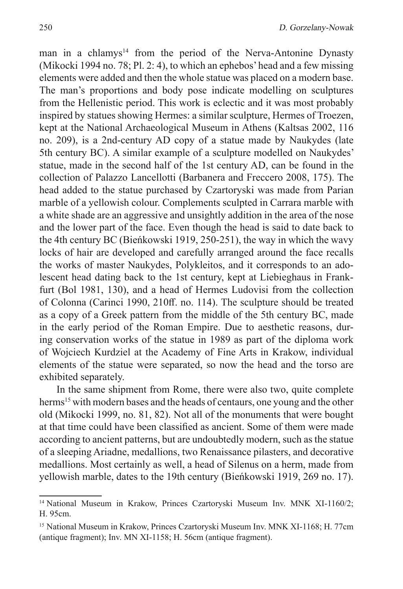man in a chlamys<sup>14</sup> from the period of the Nerva-Antonine Dynasty (Mikocki 1994 no. 78; Pl. 2: 4), to which an ephebos' head and a few missing elements were added and then the whole statue was placed on a modern base. The man's proportions and body pose indicate modelling on sculptures from the Hellenistic period. This work is eclectic and it was most probably inspired by statues showing Hermes: a similar sculpture, Hermes of Troezen, kept at the National Archaeological Museum in Athens (Kaltsas 2002, 116 no. 209), is a 2nd-century AD copy of a statue made by Naukydes (late 5th century BC). A similar example of a sculpture modelled on Naukydes' statue, made in the second half of the 1st century AD, can be found in the collection of Palazzo Lancellotti (Barbanera and Freccero 2008, 175). The head added to the statue purchased by Czartoryski was made from Parian marble of a yellowish colour. Complements sculpted in Carrara marble with a white shade are an aggressive and unsightly addition in the area of the nose and the lower part of the face. Even though the head is said to date back to the 4th century BC (Bieńkowski 1919, 250-251), the way in which the wavy locks of hair are developed and carefully arranged around the face recalls the works of master Naukydes, Polykleitos, and it corresponds to an adolescent head dating back to the 1st century, kept at Liebieghaus in Frankfurt (Bol 1981, 130), and a head of Hermes Ludovisi from the collection of Colonna (Carinci 1990, 210ff. no. 114). The sculpture should be treated as a copy of a Greek pattern from the middle of the 5th century BC, made in the early period of the Roman Empire. Due to aesthetic reasons, during conservation works of the statue in 1989 as part of the diploma work of Wojciech Kurdziel at the Academy of Fine Arts in Krakow, individual elements of the statue were separated, so now the head and the torso are exhibited separately.

In the same shipment from Rome, there were also two, quite complete herms<sup>15</sup> with modern bases and the heads of centaurs, one young and the other old (Mikocki 1999, no. 81, 82). Not all of the monuments that were bought at that time could have been classified as ancient. Some of them were made according to ancient patterns, but are undoubtedly modern, such as the statue of a sleeping Ariadne, medallions, two Renaissance pilasters, and decorative medallions. Most certainly as well, a head of Silenus on a herm, made from yellowish marble, dates to the 19th century (Bieńkowski 1919, 269 no. 17).

<sup>&</sup>lt;sup>14</sup> National Museum in Krakow, Princes Czartoryski Museum Inv. MNK XI-1160/2; H. 95cm.

<sup>15</sup> National Museum in Krakow, Princes Czartoryski Museum Inv. MNK XI-1168; H. 77cm (antique fragment); Inv. MN XI-1158; H. 56cm (antique fragment).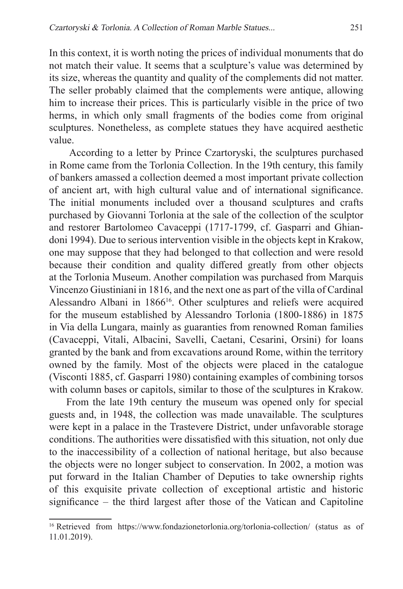In this context, it is worth noting the prices of individual monuments that do not match their value. It seems that a sculpture's value was determined by its size, whereas the quantity and quality of the complements did not matter. The seller probably claimed that the complements were antique, allowing him to increase their prices. This is particularly visible in the price of two herms, in which only small fragments of the bodies come from original sculptures. Nonetheless, as complete statues they have acquired aesthetic value.

 According to a letter by Prince Czartoryski, the sculptures purchased in Rome came from the Torlonia Collection. In the 19th century, this family of bankers amassed a collection deemed a most important private collection of ancient art, with high cultural value and of international significance. The initial monuments included over a thousand sculptures and crafts purchased by Giovanni Torlonia at the sale of the collection of the sculptor and restorer Bartolomeo Cavaceppi (1717-1799, cf. Gasparri and Ghiandoni 1994). Due to serious intervention visible in the objects kept in Krakow, one may suppose that they had belonged to that collection and were resold because their condition and quality differed greatly from other objects at the Torlonia Museum. Another compilation was purchased from Marquis Vincenzo Giustiniani in 1816, and the next one as part of the villa of Cardinal Alessandro Albani in 1866<sup>16</sup>. Other sculptures and reliefs were acquired for the museum established by Alessandro Torlonia (1800-1886) in 1875 in Via della Lungara, mainly as guaranties from renowned Roman families (Cavaceppi, Vitali, Albacini, Savelli, Caetani, Cesarini, Orsini) for loans granted by the bank and from excavations around Rome, within the territory owned by the family. Most of the objects were placed in the catalogue (Visconti 1885, cf. Gasparri 1980) containing examples of combining torsos with column bases or capitols, similar to those of the sculptures in Krakow.

From the late 19th century the museum was opened only for special guests and, in 1948, the collection was made unavailable. The sculptures were kept in a palace in the Trastevere District, under unfavorable storage conditions. The authorities were dissatisfied with this situation, not only due to the inaccessibility of a collection of national heritage, but also because the objects were no longer subject to conservation. In 2002, a motion was put forward in the Italian Chamber of Deputies to take ownership rights of this exquisite private collection of exceptional artistic and historic significance – the third largest after those of the Vatican and Capitoline

<sup>16</sup> Retrieved from https://www.fondazionetorlonia.org/torlonia-collection/ (status as of 11.01.2019).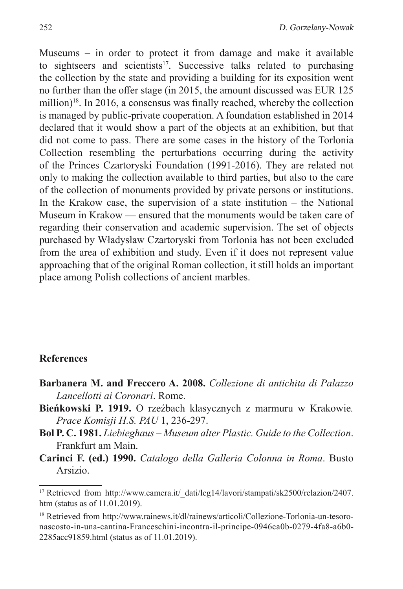Museums – in order to protect it from damage and make it available to sightseers and scientists<sup>17</sup>. Successive talks related to purchasing the collection by the state and providing a building for its exposition went no further than the offer stage (in 2015, the amount discussed was EUR 125 million)<sup>18</sup>. In 2016, a consensus was finally reached, whereby the collection is managed by public-private cooperation. A foundation established in 2014 declared that it would show a part of the objects at an exhibition, but that did not come to pass. There are some cases in the history of the Torlonia Collection resembling the perturbations occurring during the activity of the Princes Czartoryski Foundation (1991-2016). They are related not only to making the collection available to third parties, but also to the care of the collection of monuments provided by private persons or institutions. In the Krakow case, the supervision of a state institution  $-$  the National Museum in Krakow — ensured that the monuments would be taken care of regarding their conservation and academic supervision. The set of objects purchased by Władysław Czartoryski from Torlonia has not been excluded from the area of exhibition and study. Even if it does not represent value approaching that of the original Roman collection, it still holds an important place among Polish collections of ancient marbles.

### **References**

- **Barbanera M. and Freccero A. 2008.** *Collezione di antichita di Palazzo Lancellotti ai Coronari*. Rome.
- **Bieńkowski P. 1919.** O rzeźbach klasycznych z marmuru w Krakowie*. Prace Komisji H.S. PAU* 1, 236-297.
- **Bol P. C. 1981.** *Liebieghaus Museum alter Plastic. Guide to the Collection*. Frankfurt am Main.
- **Carinci F. (ed.) 1990.** *Catalogo della Galleria Colonna in Roma*. Busto Arsizio.

<sup>&</sup>lt;sup>17</sup> Retrieved from http://www.camera.it/ dati/leg14/lavori/stampati/sk2500/relazion/2407. htm (status as of 11.01.2019).

<sup>18</sup> Retrieved from http://www.rainews.it/dl/rainews/articoli/Collezione-Torlonia-un-tesoronascosto-in-una-cantina-Franceschini-incontra-il-principe-0946ca0b-0279-4fa8-a6b0- 2285acc91859.html (status as of 11.01.2019).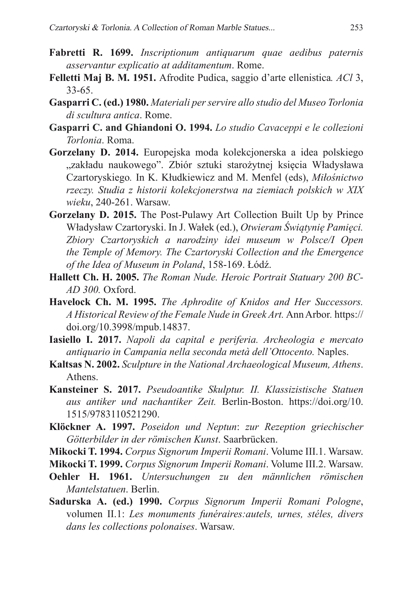- **Fabretti R. 1699.** *Inscriptionum antiquarum quae aedibus paternis asservantur explicatio at additamentum*. Rome.
- **Felletti Maj B. M. 1951.** Afrodite Pudica, saggio d'arte ellenistica*. ACl* 3, 33-65.
- **Gasparri C. (ed.) 1980.** *Materiali per servire allo studio del Museo Torlonia di scultura antica*. Rome.
- **Gasparri C. and Ghiandoni O. 1994.** *Lo studio Cavaceppi e le collezioni Torlonia*. Roma.
- **Gorzelany D. 2014.** Europejska moda kolekcjonerska a idea polskiego "zakładu naukowego". Zbiór sztuki starożytnej księcia Władysława Czartoryskiego*.* In K. Kłudkiewicz and M. Menfel (eds), *Miłośnictwo rzeczy. Studia z historii kolekcjonerstwa na ziemiach polskich w XIX wieku*, 240-261. Warsaw.
- **Gorzelany D. 2015.** The Post-Pulawy Art Collection Built Up by Prince Władysław Czartoryski. In J. Wałek (ed.), *Otwieram Świątynię Pamięci. Zbiory Czartoryskich a narodziny idei museum w Polsce/I Open the Temple of Memory. The Czartoryski Collection and the Emergence of the Idea of Museum in Poland*, 158-169. Łódź.
- **Hallett Ch. H. 2005.** *The Roman Nude. Heroic Portrait Statuary 200 BC-AD 300.* Oxford.
- **Havelock Ch. M. 1995.** *The Aphrodite of Knidos and Her Successors. A Historical Review of the Female Nude in Greek Art.* Ann Arbor*.* [https://](https://doi.org/10.3998/mpub.14837) [doi.org/10.3998/mpub.14837.](https://doi.org/10.3998/mpub.14837)
- **Iasiello I. 2017.** *Napoli da capital e periferia. Archeologia e mercato antiquario in Campania nella seconda metà dell'Ottocento.* Naples.
- **Kaltsas N. 2002.** *Sculpture in the National Archaeological Museum, Athens*. Athens.
- **Kansteiner S. 2017.** *Pseudoantike Skulptur. II. Klassizistische Statuen aus antiker und nachantiker Zeit.* Berlin-Boston. [https://doi.org/10.](https://doi.org/10.1515/9783110521290)  [1515/9783110521290](https://doi.org/10.1515/9783110521290).
- **Klöckner A. 1997.** *Poseidon und Neptun*: *zur Rezeption griechischer Götterbilder in der römischen Kunst*. Saarbrücken.
- **Mikocki T. 1994.** *Corpus Signorum Imperii Romani*. Volume III.1. Warsaw.

**Mikocki T. 1999.** *Corpus Signorum Imperii Romani*. Volume III.2. Warsaw.

**Oehler H. 1961.** *Untersuchungen zu den männlichen römischen Mantelstatuen*. Berlin.

**Sadurska A. (ed.) 1990.** *Corpus Signorum Imperii Romani Pologne*, volumen II.1: *Les monuments funéraires:autels, urnes, stéles, divers dans les collections polonaises*. Warsaw.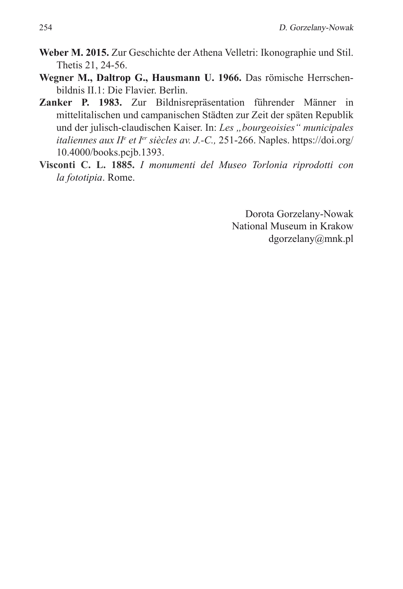- **Weber M. 2015.** Zur Geschichte der Athena Velletri: Ikonographie und Stil. Thetis 21, 24-56.
- **Wegner M., Daltrop G., Hausmann U. 1966.** Das römische Herrschenbildnis II.1: Die Flavier. Berlin.
- **Zanker P. 1983.** Zur Bildnisrepräsentation führender Männer in mittelitalischen und campanischen Städten zur Zeit der späten Republik und der julisch-claudischen Kaiser. In: *Les "bourgeoisies" municipales italiennes aux II<sup>e</sup> et I<sup>er</sup> siècles av. J.-C., 251-266. Naples. https://doi.org/* 10.4000/books.pcjb.1393.
- **Visconti C. L. 1885.** *I monumenti del Museo Torlonia riprodotti con la fototipia*. Rome.

Dorota Gorzelany-Nowak National Museum in Krakow dgorzelany@mnk.pl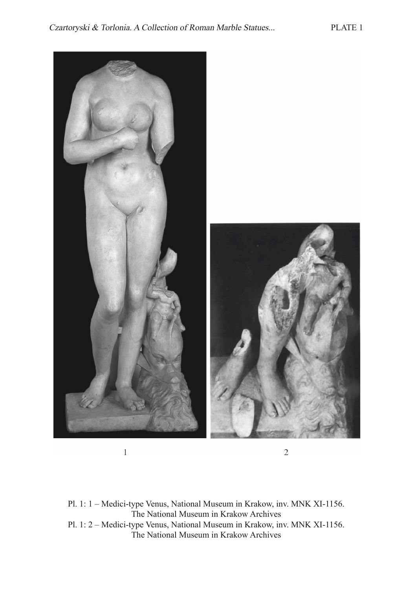

 $\mathbf{1}$ 

 $\overline{2}$ 

- Pl. 1: 1 Medici-type Venus, National Museum in Krakow, inv. MNK XI-1156. The National Museum in Krakow Archives
- Pl. 1: 2 Medici-type Venus, National Museum in Krakow, inv. MNK XI-1156. The National Museum in Krakow Archives